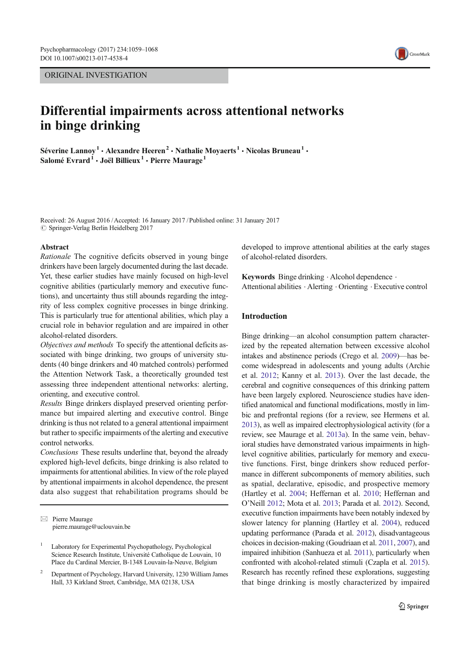ORIGINAL INVESTIGATION

# Differential impairments across attentional networks in binge drinking

Séverine Lannoy<sup>1</sup> • Alexandre Heeren<sup>2</sup> • Nathalie Moyaerts<sup>1</sup> • Nicolas Bruneau<sup>1</sup> • Salomé Evrard<sup>1</sup> · Joël Billieux<sup>1</sup> · Pierre Maurage<sup>1</sup>

Received: 26 August 2016 /Accepted: 16 January 2017 /Published online: 31 January 2017  $\oslash$  Springer-Verlag Berlin Heidelberg 2017

#### Abstract

Rationale The cognitive deficits observed in young binge drinkers have been largely documented during the last decade. Yet, these earlier studies have mainly focused on high-level cognitive abilities (particularly memory and executive functions), and uncertainty thus still abounds regarding the integrity of less complex cognitive processes in binge drinking. This is particularly true for attentional abilities, which play a crucial role in behavior regulation and are impaired in other alcohol-related disorders.

Objectives and methods To specify the attentional deficits associated with binge drinking, two groups of university students (40 binge drinkers and 40 matched controls) performed the Attention Network Task, a theoretically grounded test assessing three independent attentional networks: alerting, orienting, and executive control.

Results Binge drinkers displayed preserved orienting performance but impaired alerting and executive control. Binge drinking is thus not related to a general attentional impairment but rather to specific impairments of the alerting and executive control networks.

Conclusions These results underline that, beyond the already explored high-level deficits, binge drinking is also related to impairments for attentional abilities. In view of the role played by attentional impairments in alcohol dependence, the present data also suggest that rehabilitation programs should be

 $\boxtimes$  Pierre Maurage pierre.maurage@uclouvain.be developed to improve attentional abilities at the early stages of alcohol-related disorders.

Keywords Binge drinking · Alcohol dependence · Attentional abilities . Alerting . Orienting . Executive control

# Introduction

Binge drinking—an alcohol consumption pattern characterized by the repeated alternation between excessive alcohol intakes and abstinence periods (Crego et al. 2009)—has become widespread in adolescents and young adults (Archie et al. 2012; Kanny et al. 2013). Over the last decade, the cerebral and cognitive consequences of this drinking pattern have been largely explored. Neuroscience studies have identified anatomical and functional modifications, mostly in limbic and prefrontal regions (for a review, see Hermens et al. 2013), as well as impaired electrophysiological activity (for a review, see Maurage et al. 2013a). In the same vein, behavioral studies have demonstrated various impairments in highlevel cognitive abilities, particularly for memory and executive functions. First, binge drinkers show reduced performance in different subcomponents of memory abilities, such as spatial, declarative, episodic, and prospective memory (Hartley et al. 2004; Heffernan et al. 2010; Heffernan and O'Neill 2012; Mota et al. 2013; Parada et al. 2012). Second, executive function impairments have been notably indexed by slower latency for planning (Hartley et al. 2004), reduced updating performance (Parada et al. 2012), disadvantageous choices in decision-making (Goudriaan et al. 2011, 2007), and impaired inhibition (Sanhueza et al. 2011), particularly when confronted with alcohol-related stimuli (Czapla et al. 2015). Research has recently refined these explorations, suggesting that binge drinking is mostly characterized by impaired



<sup>1</sup> Laboratory for Experimental Psychopathology, Psychological Science Research Institute, Université Catholique de Louvain, 10 Place du Cardinal Mercier, B-1348 Louvain-la-Neuve, Belgium

<sup>2</sup> Department of Psychology, Harvard University, 1230 William James Hall, 33 Kirkland Street, Cambridge, MA 02138, USA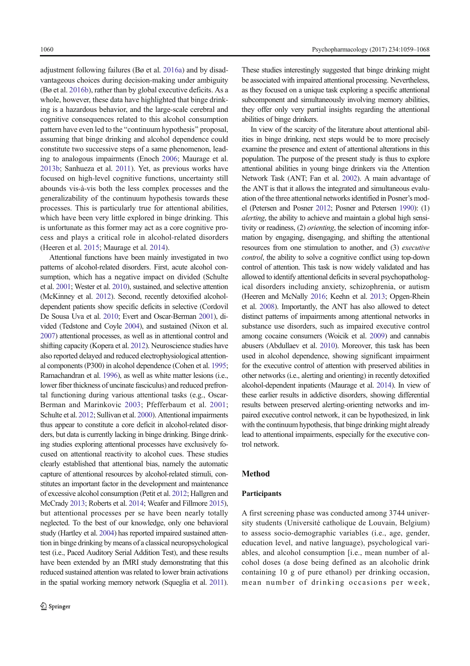whole, however, these data have highlighted that binge drinking is a hazardous behavior, and the large-scale cerebral and cognitive consequences related to this alcohol consumption pattern have even led to the "continuum hypothesis" proposal, assuming that binge drinking and alcohol dependence could constitute two successive steps of a same phenomenon, leading to analogous impairments (Enoch 2006; Maurage et al. 2013b; Sanhueza et al. 2011). Yet, as previous works have focused on high-level cognitive functions, uncertainty still abounds vis-à-vis both the less complex processes and the generalizability of the continuum hypothesis towards these processes. This is particularly true for attentional abilities, which have been very little explored in binge drinking. This is unfortunate as this former may act as a core cognitive process and plays a critical role in alcohol-related disorders (Heeren et al. 2015; Maurage et al. 2014).

Attentional functions have been mainly investigated in two patterns of alcohol-related disorders. First, acute alcohol consumption, which has a negative impact on divided (Schulte et al. 2001; Wester et al. 2010), sustained, and selective attention (McKinney et al. 2012). Second, recently detoxified alcoholdependent patients show specific deficits in selective (Cordovil De Sousa Uva et al. 2010; Evert and Oscar-Berman 2001), divided (Tedstone and Coyle 2004), and sustained (Nixon et al. 2007) attentional processes, as well as in attentional control and shifting capacity (Kopera et al. 2012). Neuroscience studies have also reported delayed and reduced electrophysiological attentional components (P300) in alcohol dependence (Cohen et al. 1995; Ramachandran et al. 1996), as well as white matter lesions (i.e., lower fiber thickness of uncinate fasciculus) and reduced prefrontal functioning during various attentional tasks (e.g., Oscar-Berman and Marinkovic 2003; Pfefferbaum et al. 2001; Schulte et al. 2012; Sullivan et al. 2000). Attentional impairments thus appear to constitute a core deficit in alcohol-related disorders, but data is currently lacking in binge drinking. Binge drinking studies exploring attentional processes have exclusively focused on attentional reactivity to alcohol cues. These studies clearly established that attentional bias, namely the automatic capture of attentional resources by alcohol-related stimuli, constitutes an important factor in the development and maintenance of excessive alcohol consumption (Petit et al. 2012; Hallgren and McCrady 2013; Roberts et al. 2014; Weafer and Fillmore 2015), but attentional processes per se have been nearly totally neglected. To the best of our knowledge, only one behavioral study (Hartley et al. 2004) has reported impaired sustained attention in binge drinking by means of a classical neuropsychological test (i.e., Paced Auditory Serial Addition Test), and these results have been extended by an fMRI study demonstrating that this reduced sustained attention was related to lower brain activations in the spatial working memory network (Squeglia et al. 2011). These studies interestingly suggested that binge drinking might be associated with impaired attentional processing. Nevertheless, as they focused on a unique task exploring a specific attentional subcomponent and simultaneously involving memory abilities, they offer only very partial insights regarding the attentional abilities of binge drinkers.

In view of the scarcity of the literature about attentional abilities in binge drinking, next steps would be to more precisely examine the presence and extent of attentional alterations in this population. The purpose of the present study is thus to explore attentional abilities in young binge drinkers via the Attention Network Task (ANT; Fan et al. 2002). A main advantage of the ANT is that it allows the integrated and simultaneous evaluation of the three attentional networks identified in Posner's model (Petersen and Posner 2012; Posner and Petersen 1990): (1) alerting, the ability to achieve and maintain a global high sensitivity or readiness, (2) orienting, the selection of incoming information by engaging, disengaging, and shifting the attentional resources from one stimulation to another, and (3) executive control, the ability to solve a cognitive conflict using top-down control of attention. This task is now widely validated and has allowed to identify attentional deficits in several psychopathological disorders including anxiety, schizophrenia, or autism (Heeren and McNally 2016; Keehn et al. 2013; Opgen-Rhein et al. 2008). Importantly, the ANT has also allowed to detect distinct patterns of impairments among attentional networks in substance use disorders, such as impaired executive control among cocaine consumers (Woicik et al. 2009) and cannabis abusers (Abdullaev et al. 2010). Moreover, this task has been used in alcohol dependence, showing significant impairment for the executive control of attention with preserved abilities in other networks (i.e., alerting and orienting) in recently detoxified alcohol-dependent inpatients (Maurage et al. 2014). In view of these earlier results in addictive disorders, showing differential results between preserved alerting-orienting networks and impaired executive control network, it can be hypothesized, in link with the continuum hypothesis, that binge drinking might already lead to attentional impairments, especially for the executive control network.

# Method

# Participants

A first screening phase was conducted among 3744 university students (Université catholique de Louvain, Belgium) to assess socio-demographic variables (i.e., age, gender, education level, and native language), psychological variables, and alcohol consumption [i.e., mean number of alcohol doses (a dose being defined as an alcoholic drink containing 10 g of pure ethanol) per drinking occasion, mean number of drinking occasions per week,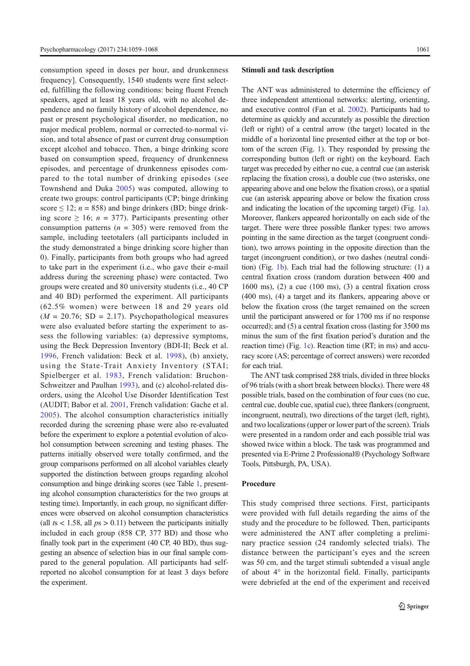consumption speed in doses per hour, and drunkenness frequency]. Consequently, 1540 students were first selected, fulfilling the following conditions: being fluent French speakers, aged at least 18 years old, with no alcohol dependence and no family history of alcohol dependence, no past or present psychological disorder, no medication, no major medical problem, normal or corrected-to-normal vision, and total absence of past or current drug consumption except alcohol and tobacco. Then, a binge drinking score based on consumption speed, frequency of drunkenness episodes, and percentage of drunkenness episodes compared to the total number of drinking episodes (see Townshend and Duka 2005) was computed, allowing to create two groups: control participants (CP; binge drinking score  $\leq$  12; n = 858) and binge drinkers (BD; binge drinking score  $\geq 16$ ;  $n = 377$ ). Participants presenting other consumption patterns  $(n = 305)$  were removed from the sample, including teetotalers (all participants included in the study demonstrated a binge drinking score higher than 0). Finally, participants from both groups who had agreed to take part in the experiment (i.e., who gave their e-mail address during the screening phase) were contacted. Two groups were created and 80 university students (i.e., 40 CP and 40 BD) performed the experiment. All participants (62.5% women) were between 18 and 29 years old  $(M = 20.76; SD = 2.17)$ . Psychopathological measures were also evaluated before starting the experiment to assess the following variables: (a) depressive symptoms, using the Beck Depression Inventory (BDI-II; Beck et al. 1996, French validation: Beck et al. 1998), (b) anxiety, using the State-Trait Anxiety Inventory (STAI; Spielberger et al. 1983, French validation: Bruchon-Schweitzer and Paulhan 1993), and (c) alcohol-related disorders, using the Alcohol Use Disorder Identification Test (AUDIT; Babor et al. 2001, French validation: Gache et al. 2005). The alcohol consumption characteristics initially recorded during the screening phase were also re-evaluated before the experiment to explore a potential evolution of alcohol consumption between screening and testing phases. The patterns initially observed were totally confirmed, and the group comparisons performed on all alcohol variables clearly supported the distinction between groups regarding alcohol consumption and binge drinking scores (see Table 1, presenting alcohol consumption characteristics for the two groups at testing time). Importantly, in each group, no significant differences were observed on alcohol consumption characteristics (all  $ts < 1.58$ , all  $ps > 0.11$ ) between the participants initially included in each group (858 CP, 377 BD) and those who finally took part in the experiment (40 CP, 40 BD), thus suggesting an absence of selection bias in our final sample compared to the general population. All participants had selfreported no alcohol consumption for at least 3 days before the experiment.

#### Stimuli and task description

The ANT was administered to determine the efficiency of three independent attentional networks: alerting, orienting, and executive control (Fan et al. 2002). Participants had to determine as quickly and accurately as possible the direction (left or right) of a central arrow (the target) located in the middle of a horizontal line presented either at the top or bottom of the screen (Fig. 1). They responded by pressing the corresponding button (left or right) on the keyboard. Each target was preceded by either no cue, a central cue (an asterisk replacing the fixation cross), a double cue (two asterisks, one appearing above and one below the fixation cross), or a spatial cue (an asterisk appearing above or below the fixation cross and indicating the location of the upcoming target) (Fig. 1a). Moreover, flankers appeared horizontally on each side of the target. There were three possible flanker types: two arrows pointing in the same direction as the target (congruent condition), two arrows pointing in the opposite direction than the target (incongruent condition), or two dashes (neutral condition) (Fig. 1b). Each trial had the following structure: (1) a central fixation cross (random duration between 400 and 1600 ms), (2) a cue (100 ms), (3) a central fixation cross (400 ms), (4) a target and its flankers, appearing above or below the fixation cross (the target remained on the screen until the participant answered or for 1700 ms if no response occurred); and (5) a central fixation cross (lasting for 3500 ms minus the sum of the first fixation period's duration and the reaction time) (Fig. 1c). Reaction time (RT; in ms) and accuracy score (AS; percentage of correct answers) were recorded for each trial.

The ANT task comprised 288 trials, divided in three blocks of 96 trials (with a short break between blocks). There were 48 possible trials, based on the combination of four cues (no cue, central cue, double cue, spatial cue), three flankers (congruent, incongruent, neutral), two directions of the target (left, right), and two localizations (upper or lower part of the screen). Trials were presented in a random order and each possible trial was showed twice within a block. The task was programmed and presented via E-Prime 2 Professional® (Psychology Software Tools, Pittsburgh, PA, USA).

# Procedure

This study comprised three sections. First, participants were provided with full details regarding the aims of the study and the procedure to be followed. Then, participants were administered the ANT after completing a preliminary practice session (24 randomly selected trials). The distance between the participant's eyes and the screen was 50 cm, and the target stimuli subtended a visual angle of about 4° in the horizontal field. Finally, participants were debriefed at the end of the experiment and received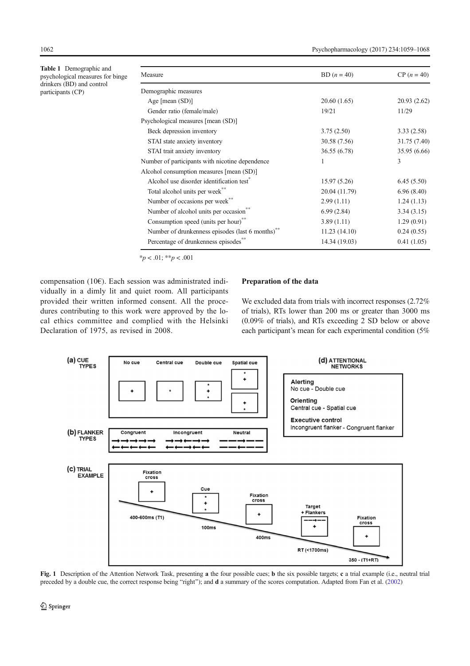Table 1 Demographic and psychological measures for binge drinkers (BD) and control participants (CP)

| Measure                                                     | BD $(n = 40)$ | $CP (n = 40)$ |
|-------------------------------------------------------------|---------------|---------------|
| Demographic measures                                        |               |               |
| Age [mean (SD)]                                             | 20.60(1.65)   | 20.93 (2.62)  |
| Gender ratio (female/male)                                  | 19/21         | 11/29         |
| Psychological measures [mean (SD)]                          |               |               |
| Beck depression inventory                                   | 3.75(2.50)    | 3.33(2.58)    |
| STAI state anxiety inventory                                | 30.58 (7.56)  | 31.75 (7.40)  |
| STAI trait anxiety inventory                                | 36.55 (6.78)  | 35.95 (6.66)  |
| Number of participants with nicotine dependence             | 1             | 3             |
| Alcohol consumption measures [mean (SD)]                    |               |               |
| Alcohol use disorder identification test <sup>®</sup>       | 15.97 (5.26)  | 6.45(5.50)    |
| Total alcohol units per week <sup>**</sup>                  | 20.04 (11.79) | 6.96(8.40)    |
| Number of occasions per week <sup>**</sup>                  | 2.99(1.11)    | 1.24(1.13)    |
| Number of alcohol units per occasion <sup>*</sup>           | 6.99(2.84)    | 3.34(3.15)    |
| Consumption speed (units per hour) <sup>**</sup>            | 3.89(1.11)    | 1.29(0.91)    |
| Number of drunkenness episodes (last 6 months) <sup>®</sup> | 11.23(14.10)  | 0.24(0.55)    |
| Percentage of drunkenness episodes <sup>"</sup>             | 14.34 (19.03) | 0.41(1.05)    |
|                                                             |               |               |

 $*_p$  < .01;  $*_p$  < .001

compensation (10€). Each session was administrated individually in a dimly lit and quiet room. All participants provided their written informed consent. All the procedures contributing to this work were approved by the local ethics committee and complied with the Helsinki Declaration of 1975, as revised in 2008.

# Preparation of the data

We excluded data from trials with incorrect responses (2.72% of trials), RTs lower than 200 ms or greater than 3000 ms (0.09% of trials), and RTs exceeding 2 SD below or above each participant's mean for each experimental condition (5%



Fig. 1 Description of the Attention Network Task, presenting a the four possible cues; b the six possible targets; c a trial example (i.e., neutral trial preceded by a double cue, the correct response being "right"); and d a summary of the scores computation. Adapted from Fan et al. (2002)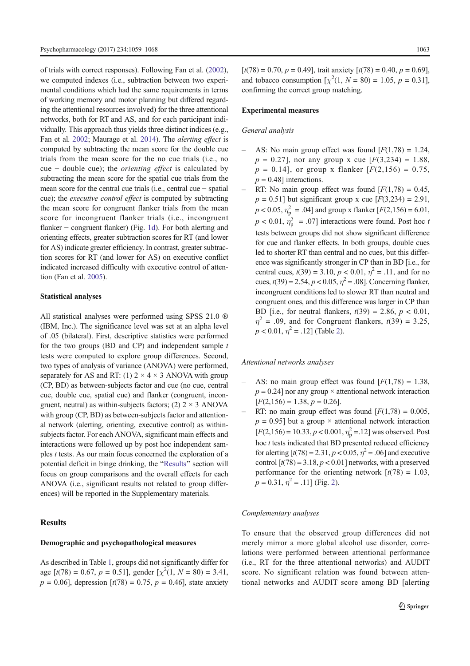of trials with correct responses). Following Fan et al. (2002), we computed indexes (i.e., subtraction between two experimental conditions which had the same requirements in terms of working memory and motor planning but differed regarding the attentional resources involved) for the three attentional networks, both for RT and AS, and for each participant individually. This approach thus yields three distinct indices (e.g., Fan et al. 2002; Maurage et al. 2014). The alerting effect is computed by subtracting the mean score for the double cue trials from the mean score for the no cue trials (i.e., no cue − double cue); the orienting effect is calculated by subtracting the mean score for the spatial cue trials from the mean score for the central cue trials (i.e., central cue − spatial cue); the executive control effect is computed by subtracting the mean score for congruent flanker trials from the mean score for incongruent flanker trials (i.e., incongruent flanker − congruent flanker) (Fig. 1d). For both alerting and orienting effects, greater subtraction scores for RT (and lower for AS) indicate greater efficiency. In contrast, greater subtraction scores for RT (and lower for AS) on executive conflict indicated increased difficulty with executive control of attention (Fan et al. 2005).

## Statistical analyses

All statistical analyses were performed using SPSS 21.0 ® (IBM, Inc.). The significance level was set at an alpha level of .05 (bilateral). First, descriptive statistics were performed for the two groups (BD and CP) and independent sample  $t$ tests were computed to explore group differences. Second, two types of analysis of variance (ANOVA) were performed, separately for AS and RT: (1)  $2 \times 4 \times 3$  ANOVA with group (CP, BD) as between-subjects factor and cue (no cue, central cue, double cue, spatial cue) and flanker (congruent, incongruent, neutral) as within-subjects factors; (2)  $2 \times 3$  ANOVA with group (CP, BD) as between-subjects factor and attentional network (alerting, orienting, executive control) as withinsubjects factor. For each ANOVA, significant main effects and interactions were followed up by post hoc independent samples t tests. As our main focus concerned the exploration of a potential deficit in binge drinking, the "Results" section will focus on group comparisons and the overall effects for each ANOVA (i.e., significant results not related to group differences) will be reported in the Supplementary materials.

# Results

#### Demographic and psychopathological measures

As described in Table 1, groups did not significantly differ for age  $[t(78) = 0.67, p = 0.51]$ , gender  $[\chi^2(1, N = 80) = 3.41]$ ,  $p = 0.06$ ], depression  $[t(78) = 0.75, p = 0.46]$ , state anxiety

 $[t(78) = 0.70, p = 0.49]$ , trait anxiety  $[t(78) = 0.40, p = 0.69]$ , and tobacco consumption  $[\chi^2(1, N = 80) = 1.05, p = 0.31]$ , confirming the correct group matching.

# Experimental measures

#### General analysis

- AS: No main group effect was found  $[F(1,78) = 1.24]$ ,  $p = 0.27$ , nor any group x cue  $[F(3,234) = 1.88]$  $p = 0.14$ , or group x flanker  $F(2,156) = 0.75$ ,  $p = 0.48$ ] interactions.
- RT: No main group effect was found  $[F(1,78) = 0.45]$ ,  $p = 0.51$ ] but significant group x cue [ $F(3,234) = 2.91$ ,  $p < 0.05$ ,  $\eta_p^2 = .04$ ] and group x flanker [ $F(2,156) = 6.01$ ,  $p < 0.01$ ,  $\eta_p^2 = .07$ ] interactions were found. Post hoc t tests between groups did not show significant difference for cue and flanker effects. In both groups, double cues led to shorter RT than central and no cues, but this difference was significantly stronger in CP than in BD [i.e., for central cues,  $t(39) = 3.10, p < 0.01, \eta^2 = .11$ , and for no cues,  $t(39) = 2.54$ ,  $p < 0.05$ ,  $\eta^2 = .08$ ]. Concerning flanker, incongruent conditions led to slower RT than neutral and congruent ones, and this difference was larger in CP than BD [i.e., for neutral flankers,  $t(39) = 2.86$ ,  $p < 0.01$ ,  $\eta^2$  = .09, and for Congruent flankers,  $t(39)$  = 3.25,  $p < 0.01$ ,  $\eta^2 = .12$ ] (Table 2).

# Attentional networks analyses

- AS: no main group effect was found  $[F(1,78) = 1.38]$ ,  $p = 0.24$ ] nor any group  $\times$  attentional network interaction  $[F(2,156) = 1.38, p = 0.26].$
- RT: no main group effect was found  $[F(1,78) = 0.005]$ ,  $p = 0.95$ ] but a group  $\times$  attentional network interaction  $[F(2,156) = 10.33, p < 0.001, \eta_{p}^{2} = .12]$  was observed. Post hoc t tests indicated that BD presented reduced efficiency for alerting  $[t(78) = 2.31, p < 0.05, \eta^2 = .06]$  and executive control  $[t(78) = 3.18, p < 0.01]$  networks, with a preserved performance for the orienting network  $[t(78) = 1.03]$ ,  $p = 0.31, \eta^2 = .11$ ] (Fig. 2).

# Complementary analyses

To ensure that the observed group differences did not merely mirror a more global alcohol use disorder, correlations were performed between attentional performance (i.e., RT for the three attentional networks) and AUDIT score. No significant relation was found between attentional networks and AUDIT score among BD [alerting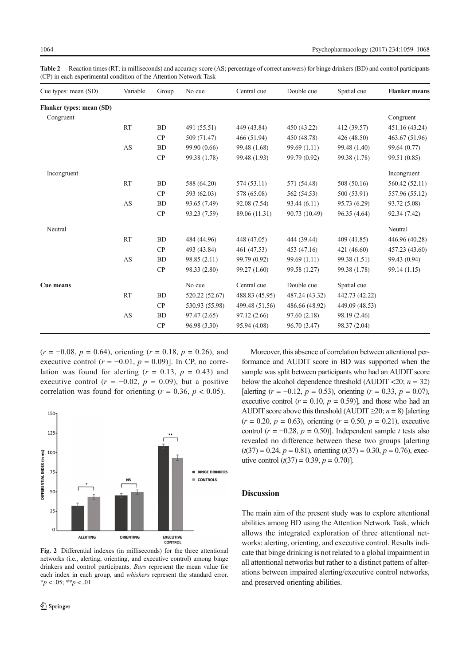| Table 2 Reaction times (RT; in milliseconds) and accuracy score (AS; percentage of correct answers) for binge drinkers (BD) and control participants |
|------------------------------------------------------------------------------------------------------------------------------------------------------|
| (CP) in each experimental condition of the Attention Network Task                                                                                    |

| Cue types: mean (SD)     | Variable  | Group     | No cue         | Central cue    | Double cue     | Spatial cue    | <b>Flanker</b> means |
|--------------------------|-----------|-----------|----------------|----------------|----------------|----------------|----------------------|
| Flanker types: mean (SD) |           |           |                |                |                |                |                      |
| Congruent                |           |           |                |                |                |                | Congruent            |
|                          | <b>RT</b> | <b>BD</b> | 491 (55.51)    | 449 (43.84)    | 450 (43.22)    | 412 (39.57)    | 451.16 (43.24)       |
|                          |           | CP        | 509 (71.47)    | 466 (51.94)    | 450 (48.78)    | 426 (48.50)    | 463.67 (51.96)       |
|                          | AS        | <b>BD</b> | 99.90 (0.66)   | 99.48 (1.68)   | 99.69 (1.11)   | 99.48 (1.40)   | 99.64 (0.77)         |
|                          |           | CP        | 99.38 (1.78)   | 99.48 (1.93)   | 99.79 (0.92)   | 99.38 (1.78)   | 99.51 (0.85)         |
| Incongruent              |           |           |                |                |                |                | Incongruent          |
|                          | <b>RT</b> | <b>BD</b> | 588 (64.20)    | 574 (53.11)    | 571 (54.48)    | 508 (50.16)    | 560.42 (52.11)       |
|                          |           | CP        | 593 (62.03)    | 578 (65.08)    | 562 (54.53)    | 500 (53.91)    | 557.96 (55.12)       |
|                          | AS        | <b>BD</b> | 93.65 (7.49)   | 92.08 (7.54)   | 93.44 (6.11)   | 95.73 (6.29)   | 93.72 (5.08)         |
|                          |           | CP        | 93.23 (7.59)   | 89.06 (11.31)  | 90.73 (10.49)  | 96.35 (4.64)   | 92.34 (7.42)         |
| Neutral                  |           |           |                |                |                |                | Neutral              |
|                          | <b>RT</b> | <b>BD</b> | 484 (44.96)    | 448 (47.05)    | 444 (39.44)    | 409 (41.85)    | 446.96 (40.28)       |
|                          |           | CP        | 493 (43.84)    | 461 (47.53)    | 453 (47.16)    | 421 (46.60)    | 457.23 (43.60)       |
|                          | AS        | <b>BD</b> | 98.85 (2.11)   | 99.79 (0.92)   | 99.69 (1.11)   | 99.38 (1.51)   | 99.43 (0.94)         |
|                          |           | CP        | 98.33 (2.80)   | 99.27 (1.60)   | 99.58 (1.27)   | 99.38 (1.78)   | 99.14 (1.15)         |
| Cue means                |           |           | No cue         | Central cue    | Double cue     | Spatial cue    |                      |
|                          | <b>RT</b> | <b>BD</b> | 520.22 (52.67) | 488.83 (45.95) | 487.24 (43.32) | 442.73 (42.22) |                      |
|                          |           | CP        | 530.93 (55.98) | 499.48 (51.56) | 486.66 (48.92) | 449.09 (48.53) |                      |
|                          | AS        | <b>BD</b> | 97.47(2.65)    | 97.12 (2.66)   | 97.60(2.18)    | 98.19 (2.46)   |                      |
|                          |           | CP        | 96.98 (3.30)   | 95.94 (4.08)   | 96.70 (3.47)   | 98.37 (2.04)   |                      |
|                          |           |           |                |                |                |                |                      |

 $(r = -0.08, p = 0.64)$ , orienting  $(r = 0.18, p = 0.26)$ , and executive control ( $r = -0.01$ ,  $p = 0.09$ ). In CP, no correlation was found for alerting  $(r = 0.13, p = 0.43)$  and executive control ( $r = -0.02$ ,  $p = 0.09$ ), but a positive correlation was found for orienting ( $r = 0.36$ ,  $p < 0.05$ ).



Fig. 2 Differential indexes (in milliseconds) for the three attentional networks (i.e., alerting, orienting, and executive control) among binge drinkers and control participants. Bars represent the mean value for each index in each group, and whiskers represent the standard error.  $**p* < .05; ***p* < .01$ 

Moreover, this absence of correlation between attentional performance and AUDIT score in BD was supported when the sample was split between participants who had an AUDIT score below the alcohol dependence threshold (AUDIT <20;  $n = 32$ ) [alerting  $(r = -0.12, p = 0.53)$ , orienting  $(r = 0.33, p = 0.07)$ , executive control  $(r = 0.10, p = 0.59)$ ], and those who had an AUDIT score above this threshold (AUDIT  $\geq$ 20; n = 8) [alerting  $(r = 0.20, p = 0.63)$ , orienting  $(r = 0.50, p = 0.21)$ , executive control ( $r = -0.28$ ,  $p = 0.50$ )]. Independent sample t tests also revealed no difference between these two groups [alerting  $(t(37) = 0.24, p = 0.81)$ , orienting  $(t(37) = 0.30, p = 0.76)$ , executive control  $(t(37) = 0.39, p = 0.70)$ ].

# Discussion

The main aim of the present study was to explore attentional abilities among BD using the Attention Network Task, which allows the integrated exploration of three attentional networks: alerting, orienting, and executive control. Results indicate that binge drinking is not related to a global impairment in all attentional networks but rather to a distinct pattern of alterations between impaired alerting/executive control networks, and preserved orienting abilities.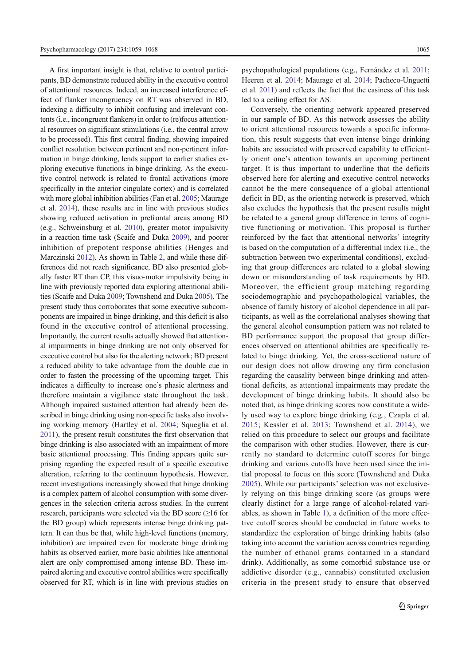A first important insight is that, relative to control participants, BD demonstrate reduced ability in the executive control of attentional resources. Indeed, an increased interference effect of flanker incongruency on RT was observed in BD, indexing a difficulty to inhibit confusing and irrelevant contents (i.e., incongruent flankers) in order to (re)focus attentional resources on significant stimulations (i.e., the central arrow to be processed). This first central finding, showing impaired conflict resolution between pertinent and non-pertinent information in binge drinking, lends support to earlier studies exploring executive functions in binge drinking. As the executive control network is related to frontal activations (more specifically in the anterior cingulate cortex) and is correlated with more global inhibition abilities (Fan et al. 2005; Maurage et al. 2014), these results are in line with previous studies showing reduced activation in prefrontal areas among BD (e.g., Schweinsburg et al. 2010), greater motor impulsivity in a reaction time task (Scaife and Duka 2009), and poorer inhibition of prepotent response abilities (Henges and Marczinski 2012). As shown in Table 2, and while these differences did not reach significance, BD also presented globally faster RT than CP, this visuo-motor impulsivity being in line with previously reported data exploring attentional abilities (Scaife and Duka 2009; Townshend and Duka 2005). The present study thus corroborates that some executive subcomponents are impaired in binge drinking, and this deficit is also found in the executive control of attentional processing. Importantly, the current results actually showed that attentional impairments in binge drinking are not only observed for executive control but also for the alerting network; BD present a reduced ability to take advantage from the double cue in order to fasten the processing of the upcoming target. This indicates a difficulty to increase one's phasic alertness and therefore maintain a vigilance state throughout the task. Although impaired sustained attention had already been described in binge drinking using non-specific tasks also involving working memory (Hartley et al. 2004; Squeglia et al. 2011), the present result constitutes the first observation that binge drinking is also associated with an impairment of more basic attentional processing. This finding appears quite surprising regarding the expected result of a specific executive alteration, referring to the continuum hypothesis. However, recent investigations increasingly showed that binge drinking is a complex pattern of alcohol consumption with some divergences in the selection criteria across studies. In the current research, participants were selected via the BD score (≥16 for the BD group) which represents intense binge drinking pattern. It can thus be that, while high-level functions (memory, inhibition) are impaired even for moderate binge drinking habits as observed earlier, more basic abilities like attentional alert are only compromised among intense BD. These impaired alerting and executive control abilities were specifically observed for RT, which is in line with previous studies on psychopathological populations (e.g., Fernández et al. 2011; Heeren et al. 2014; Maurage et al. 2014; Pacheco-Unguetti et al. 2011) and reflects the fact that the easiness of this task led to a ceiling effect for AS.

Conversely, the orienting network appeared preserved in our sample of BD. As this network assesses the ability to orient attentional resources towards a specific information, this result suggests that even intense binge drinking habits are associated with preserved capability to efficiently orient one's attention towards an upcoming pertinent target. It is thus important to underline that the deficits observed here for alerting and executive control networks cannot be the mere consequence of a global attentional deficit in BD, as the orienting network is preserved, which also excludes the hypothesis that the present results might be related to a general group difference in terms of cognitive functioning or motivation. This proposal is further reinforced by the fact that attentional networks' integrity is based on the computation of a differential index (i.e., the subtraction between two experimental conditions), excluding that group differences are related to a global slowing down or misunderstanding of task requirements by BD. Moreover, the efficient group matching regarding sociodemographic and psychopathological variables, the absence of family history of alcohol dependence in all participants, as well as the correlational analyses showing that the general alcohol consumption pattern was not related to BD performance support the proposal that group differences observed on attentional abilities are specifically related to binge drinking. Yet, the cross-sectional nature of our design does not allow drawing any firm conclusion regarding the causality between binge drinking and attentional deficits, as attentional impairments may predate the development of binge drinking habits. It should also be noted that, as binge drinking scores now constitute a widely used way to explore binge drinking (e.g., Czapla et al. 2015; Kessler et al. 2013; Townshend et al. 2014), we relied on this procedure to select our groups and facilitate the comparison with other studies. However, there is currently no standard to determine cutoff scores for binge drinking and various cutoffs have been used since the initial proposal to focus on this score (Townshend and Duka 2005). While our participants' selection was not exclusively relying on this binge drinking score (as groups were clearly distinct for a large range of alcohol-related variables, as shown in Table 1), a definition of the more effective cutoff scores should be conducted in future works to standardize the exploration of binge drinking habits (also taking into account the variation across countries regarding the number of ethanol grams contained in a standard drink). Additionally, as some comorbid substance use or addictive disorder (e.g., cannabis) constituted exclusion criteria in the present study to ensure that observed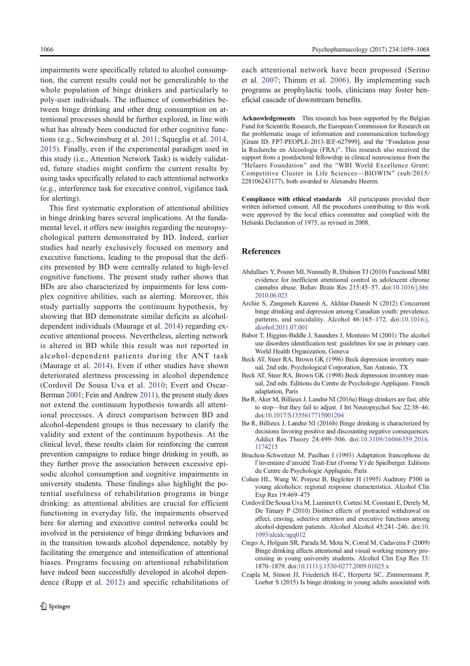impairments were specifically related to alcohol consumption, the current results could not be generalizable to the whole population of binge drinkers and particularly to poly-user individuals. The influence of comorbidities between binge drinking and other drug consumption on attentional processes should be further explored, in line with what has already been conducted for other cognitive functions (e.g., Schweinsburg et al. 2011; Squeglia et al. 2014, 2015). Finally, even if the experimental paradigm used in this study (i.e., Attention Network Task) is widely validated, future studies might confirm the current results by using tasks specifically related to each attentional networks (e.g., interference task for executive control, vigilance task for alerting).

This first systematic exploration of attentional abilities in binge drinking bares several implications. At the fundamental level, it offers new insights regarding the neuropsychological pattern demonstrated by BD. Indeed, earlier studies had nearly exclusively focused on memory and executive functions, leading to the proposal that the deficits presented by BD were centrally related to high-level cognitive functions. The present study rather shows that BDs are also characterized by impairments for less complex cognitive abilities, such as alerting. Moreover, this study partially supports the continuum hypothesis, by showing that BD demonstrate similar deficits as alcoholdependent individuals (Maurage et al. 2014) regarding executive attentional process. Nevertheless, alerting network is altered in BD while this result was not reported in alcohol-dependent patients during the ANT task (Maurage et al. 2014). Even if other studies have shown deteriorated alertness processing in alcohol dependence (Cordovil De Sousa Uva et al. 2010; Evert and Oscar-Berman 2001; Fein and Andrew 2011), the present study does not extend the continuum hypothesis towards all attentional processes. A direct comparison between BD and alcohol-dependent groups is thus necessary to clarify the validity and extent of the continuum hypothesis. At the clinical level, these results claim for reinforcing the current prevention campaigns to reduce binge drinking in youth, as they further prove the association between excessive episodic alcohol consumption and cognitive impairments in university students. These findings also highlight the potential usefulness of rehabilitation programs in binge drinking: as attentional abilities are crucial for efficient functioning in everyday life, the impairments observed here for alerting and executive control networks could be involved in the persistence of binge drinking behaviors and in the transition towards alcohol dependence, notably by facilitating the emergence and intensification of attentional biases. Programs focusing on attentional rehabilitation have indeed been successfully developed in alcohol dependence (Rupp et al. 2012) and specific rehabilitations of each attentional network have been proposed (Serino et al. 2007; Thimm et al. 2006). By implementing such programs as prophylactic tools, clinicians may foster beneficial cascade of downstream benefits.

Acknowledgements This research has been supported by the Belgian Fund for Scientific Research, the European Commission for Research on the problematic usage of information and communication technology [Grant ID: FP7-PEOPLE-2013-IEF-627999], and the "Fondation pour la Recherche en Alcoologie (FRA)". This research also received the support from a postdoctoral fellowship in clinical neuroscience from the "Helaers Foundation" and the "WBI World Excellence Grant: Competitive Cluster in Life Sciences—BIOWIN^ (sub/2015/ 228106243177), both awarded to Alexandre Heeren.

Compliance with ethical standards All participants provided their written informed consent. All the procedures contributing to this work were approved by the local ethics committee and complied with the Helsinki Declaration of 1975, as revised in 2008.

## **References**

- Abdullaev Y, Posner MI, Nunnally R, Dishion TJ (2010) Functional MRI evidence for inefficient attentional control in adolescent chronic cannabis abuse. Behav Brain Res 215:45–57. doi:10.1016/j.bbr. 2010.06.023
- Archie S, Zangeneh Kazemi A, Akhtar-Danesh N (2012) Concurrent binge drinking and depression among Canadian youth: prevalence, patterns, and suicidality. Alcohol 46:165–172. doi:10.1016/j. alcohol.2011.07.001
- Babor T, Higgins-Biddle J, Saunders J, Monteiro M (2001) The alcohol use disorders identification test: guidelines for use in primary care. World Health Organization, Geneva
- Beck AT, Steer RA, Brown GK (1996) Beck depression inventory manual, 2nd edn. Psychological Corporation, San Antonio, TX
- Beck AT, Steer RA, Brown GK (1998) Beck depression inventory manual, 2nd edn. Editions du Centre de Psychologie Appliquee. French adaptation, Paris
- Bø R, Aker M, Billieux J, Landrø NI (2016a) Binge drinkers are fast, able to stop—but they fail to adjust. J Int Neuropsychol Soc 22:38–46. doi:10.1017/S1355617715001204
- Bø R, Billieux J, Landrø NI (2016b) Binge drinking is characterized by decisions favoring positive and discounting negative consequences. Addict Res Theory 24:499–506. doi:10.3109/16066359.2016. 1174215
- Bruchon-Schweitzer M, Paulhan I (1993) Adaptation francophone de l'inventaire d'anxiété Trait-Etat (Forme Y) de Spielberger. Editions du Centre de Psychologie Appliquée, Paris
- Cohen HL, Wang W, Porjesz B, Begleiter H (1995) Auditory P300 in young alcoholics: regional response characteristics. Alcohol Clin Exp Res 19:469–475
- Cordovil De Sousa Uva M, Luminet O, Cortesi M, Constant E, Derely M, De Timary P (2010) Distinct effects of protracted withdrawal on affect, craving, selective attention and executive functions among alcohol-dependent patients. Alcohol Alcohol 45:241–246. doi:10. 1093/alcalc/agq012
- Crego A, Holguín SR, Parada M, Mota N, Corral M, Cadaveira F (2009) Binge drinking affects attentional and visual working memory processing in young university students. Alcohol Clin Exp Res 33: 1870–1879. doi:10.1111/j.1530-0277.2009.01025.x
- Czapla M, Simon JJ, Friederich H-C, Herpertz SC, Zimmermann P, Loeber S (2015) Is binge drinking in young adults associated with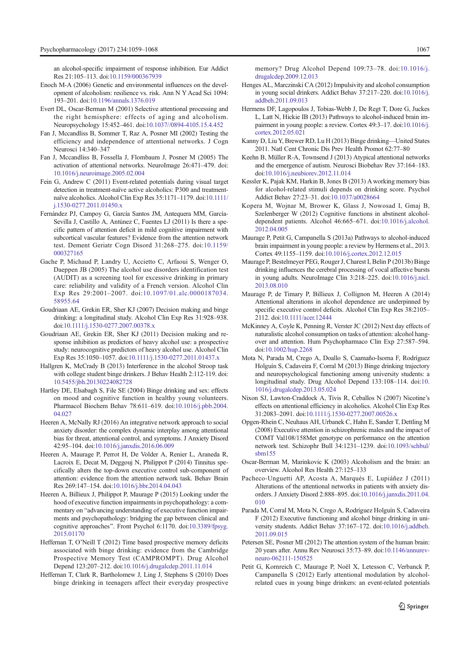an alcohol-specific impairment of response inhibition. Eur Addict Res 21:105–113. doi:10.1159/000367939

- Enoch M-A (2006) Genetic and environmental influences on the development of alcoholism: resilience vs. risk. Ann N Y Acad Sci 1094: 193–201. doi:10.1196/annals.1376.019
- Evert DL, Oscar-Berman M (2001) Selective attentional processing and the right hemisphere: effects of aging and alcoholism. Neuropsychology 15:452–461. doi:10.1037//0894-4105.15.4.452
- Fan J, Mccandliss B, Sommer T, Raz A, Posner MI (2002) Testing the efficiency and independence of attentional networks. J Cogn Neurosci 14:340–347
- Fan J, Mccandliss B, Fossella J, Flombaum J, Posner M (2005) The activation of attentional networks. NeuroImage 26:471–479. doi: 10.1016/j.neuroimage.2005.02.004
- Fein G, Andrew C (2011) Event-related potentials during visual target detection in treatment-naïve active alcoholics: P300 and treatmentnaïve alcoholics. Alcohol Clin Exp Res 35:1171–1179. doi:10.1111/ j.1530-0277.2011.01450.x
- Fernández PJ, Campoy G, García Santos JM, Antequera MM, García-Sevilla J, Castillo A, Antúnez C, Fuentes LJ (2011) Is there a specific pattern of attention deficit in mild cognitive impairment with subcortical vascular features? Evidence from the attention network test. Dement Geriatr Cogn Disord 31:268–275. doi:10.1159/ 000327165
- Gache P, Michaud P, Landry U, Accietto C, Arfaoui S, Wenger O, Daeppen JB (2005) The alcohol use disorders identification test (AUDIT) as a screening tool for excessive drinking in primary care: reliability and validity of a French version. Alcohol Clin Exp Res 29:2001–2007. doi:10.1097/01.alc.0000187034. 58955.64
- Goudriaan AE, Grekin ER, Sher KJ (2007) Decision making and binge drinking: a longitudinal study. Alcohol Clin Exp Res 31:928–938. doi:10.1111/j.1530-0277.2007.00378.x
- Goudriaan AE, Grekin ER, Sher KJ (2011) Decision making and response inhibition as predictors of heavy alcohol use: a prospective study: neurocognitive predictors of heavy alcohol use. Alcohol Clin Exp Res 35:1050–1057. doi:10.1111/j.1530-0277.2011.01437.x
- Hallgren K, McCrady B (2013) Interference in the alcohol Stroop task with college student binge drinkers. J Behav Health 2:112-119. doi: 10.5455/jbh.20130224082728
- Hartley DE, Elsabagh S, File SE (2004) Binge drinking and sex: effects on mood and cognitive function in healthy young volunteers. Pharmacol Biochem Behav 78:611–619. doi:10.1016/j.pbb.2004. 04.027
- Heeren A, McNally RJ (2016) An integrative network approach to social anxiety disorder: the complex dynamic interplay among attentional bias for threat, attentional control, and symptoms. J Anxiety Disord 42:95–104. doi:10.1016/j.janxdis.2016.06.009
- Heeren A, Maurage P, Perrot H, De Volder A, Renier L, Araneda R, Lacroix E, Decat M, Deggouj N, Philippot P (2014) Tinnitus specifically alters the top-down executive control sub-component of attention: evidence from the attention network task. Behav Brain Res 269:147–154. doi:10.1016/j.bbr.2014.04.043
- Heeren A, Billieux J, Philippot P, Maurage P (2015) Looking under the hood of executive function impairments in psychopathology: a commentary on "advancing understanding of executive function impairments and psychopathology: bridging the gap between clinical and cognitive approaches". Front Psychol 6:1170. doi:10.3389/fpsyg. 2015.01170
- Heffernan T, O'Neill T (2012) Time based prospective memory deficits associated with binge drinking: evidence from the Cambridge Prospective Memory Test (CAMPROMPT). Drug Alcohol Depend 123:207–212. doi:10.1016/j.drugalcdep.2011.11.014
- Heffernan T, Clark R, Bartholomew J, Ling J, Stephens S (2010) Does binge drinking in teenagers affect their everyday prospective

memory? Drug Alcohol Depend 109:73–78. doi:10.1016/j. drugalcdep.2009.12.013

- Henges AL, Marczinski CA (2012) Impulsivity and alcohol consumption in young social drinkers. Addict Behav 37:217–220. doi:10.1016/j. addbeh.2011.09.013
- Hermens DF, Lagopoulos J, Tobias-Webb J, De Regt T, Dore G, Juckes L, Latt N, Hickie IB (2013) Pathways to alcohol-induced brain impairment in young people: a review. Cortex 49:3–17. doi:10.1016/j. cortex.2012.05.021
- Kanny D, Liu Y, Brewer RD, Lu H (2013) Binge drinking—United States 2011. Natl Cent Chronic Dis Prev Health Promot 62:77–80
- Keehn B, Müller R-A, Townsend J (2013) Atypical attentional networks and the emergence of autism. Neurosci Biobehav Rev 37:164–183. doi:10.1016/j.neubiorev.2012.11.014
- Kessler K, Pajak KM, Harkin B, Jones B (2013) A working memory bias for alcohol-related stimuli depends on drinking score. Psychol Addict Behav 27:23–31. doi:10.1037/a0028664
- Kopera M, Wojnar M, Brower K, Glass J, Nowosad I, Gmaj B, Szelenberger W (2012) Cognitive functions in abstinent alcoholdependent patients. Alcohol 46:665–671. doi:10.1016/j.alcohol. 2012.04.005
- Maurage P, Petit G, Campanella S (2013a) Pathways to alcohol-induced brain impairment in young people: a review by Hermens et al., 2013. Cortex 49:1155–1159. doi:10.1016/j.cortex.2012.12.015
- Maurage P, Bestelmeyer PEG, Rouger J, Charest I, Belin P (2013b) Binge drinking influences the cerebral processing of vocal affective bursts in young adults. NeuroImage Clin 3:218–225. doi:10.1016/j.nicl. 2013.08.010
- Maurage P, de Timary P, Billieux J, Collignon M, Heeren A (2014) Attentional alterations in alcohol dependence are underpinned by specific executive control deficits. Alcohol Clin Exp Res 38:2105– 2112. doi:10.1111/acer.12444
- McKinney A, Coyle K, Penning R, Verster JC (2012) Next day effects of naturalistic alcohol consumption on tasks of attention: alcohol hangover and attention. Hum Psychopharmaco Clin Exp 27:587–594. doi:10.1002/hup.2268
- Mota N, Parada M, Crego A, Doallo S, Caamaño-Isorna F, Rodríguez Holguín S, Cadaveira F, Corral M (2013) Binge drinking trajectory and neuropsychological functioning among university students: a longitudinal study. Drug Alcohol Depend 133:108–114. doi:10. 1016/j.drugalcdep.2013.05.024
- Nixon SJ, Lawton-Craddock A, Tivis R, Ceballos N (2007) Nicotine's effects on attentional efficiency in alcoholics. Alcohol Clin Exp Res 31:2083–2091. doi:10.1111/j.1530-0277.2007.00526.x
- Opgen-Rhein C, Neuhaus AH, Urbanek C, Hahn E, Sander T, Dettling M (2008) Executive attention in schizophrenic males and the impact of COMT Val108/158Met genotype on performance on the attention network test. Schizophr Bull 34:1231–1239. doi:10.1093/schbul/ sbm155
- Oscar-Berman M, Marinkovic K (2003) Alcoholism and the brain: an overview. Alcohol Res Health 27:125–133
- Pacheco-Unguetti AP, Acosta A, Marqués E, Lupiáñez J (2011) Alterations of the attentional networks in patients with anxiety disorders. J Anxiety Disord 2:888–895. doi:10.1016/j.janxdis.2011.04. 010
- Parada M, Corral M, Mota N, Crego A, Rodríguez Holguín S, Cadaveira F (2012) Executive functioning and alcohol binge drinking in university students. Addict Behav 37:167–172. doi:10.1016/j.addbeh. 2011.09.015
- Petersen SE, Posner MI (2012) The attention system of the human brain: 20 years after. Annu Rev Neurosci 35:73–89. doi:10.1146/annurevneuro-062111-150525
- Petit G, Kornreich C, Maurage P, Noël X, Letesson C, Verbanck P, Campanella S (2012) Early attentional modulation by alcoholrelated cues in young binge drinkers: an event-related potentials